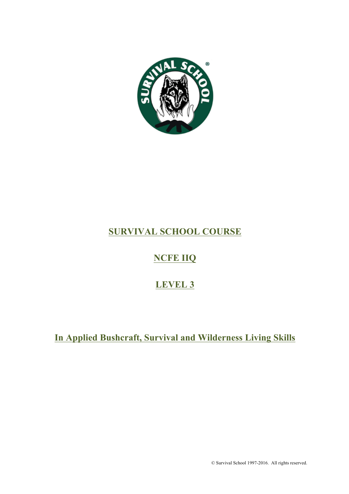

# **SURVIVAL SCHOOL COURSE**

# **NCFE IIQ**

# **LEVEL 3**

# **In Applied Bushcraft, Survival and Wilderness Living Skills**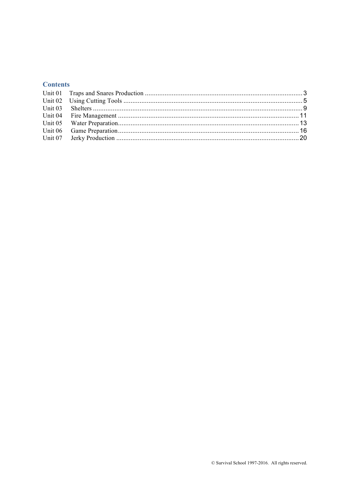# **Contents**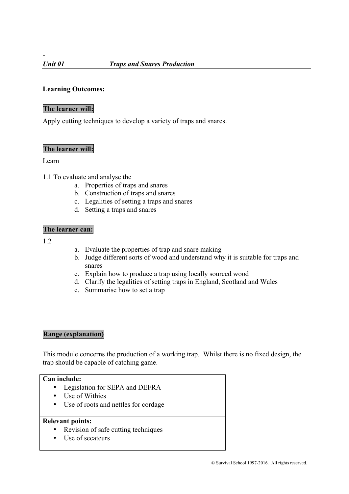-

# **Learning Outcomes:**

# **The learner will:**

Apply cutting techniques to develop a variety of traps and snares.

## **The learner will:**

#### Learn

1.1 To evaluate and analyse the

- a. Properties of traps and snares
- b. Construction of traps and snares
- c. Legalities of setting a traps and snares
- d. Setting a traps and snares

#### **The learner can:**

1.2

- a. Evaluate the properties of trap and snare making
- b. Judge different sorts of wood and understand why it is suitable for traps and snares
- c. Explain how to produce a trap using locally sourced wood
- d. Clarify the legalities of setting traps in England, Scotland and Wales
- e. Summarise how to set a trap

#### **Range (explanation)**

This module concerns the production of a working trap. Whilst there is no fixed design, the trap should be capable of catching game.

## **Can include:**

- Legislation for SEPA and DEFRA
- Use of Withies
- Use of roots and nettles for cordage

#### **Relevant points:**

- Revision of safe cutting techniques
- Use of secateurs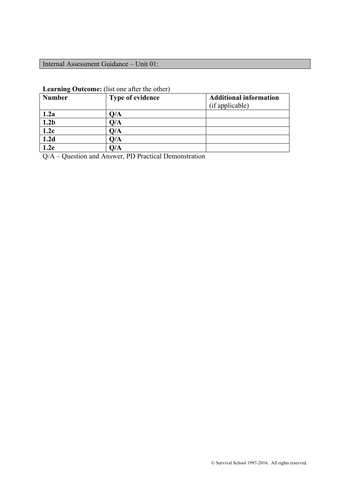# Internal Assessment Guidance – Unit 01:

| <b>Number</b>    | <b>Type of evidence</b> | <b>Additional information</b> |
|------------------|-------------------------|-------------------------------|
|                  |                         | (if applicable)               |
| 1.2a             | Q/A                     |                               |
| 1.2 <sub>b</sub> | Q/A                     |                               |
| 1.2c             | O/A                     |                               |
| 1.2d             | Q/A                     |                               |
| .2e              | O/A                     |                               |

# **Learning Outcome:** (list one after the other)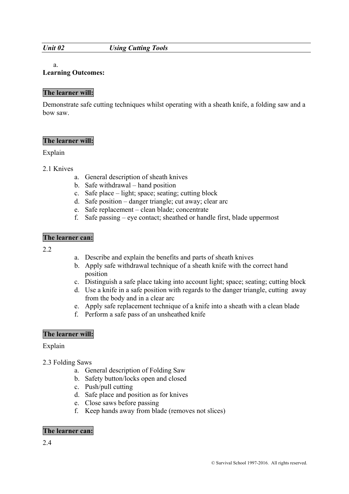#### *Unit 02 Using Cutting Tools*

#### a.

#### **Learning Outcomes:**

#### **The learner will:**

Demonstrate safe cutting techniques whilst operating with a sheath knife, a folding saw and a bow saw.

#### **The learner will:**

#### Explain

- 2.1 Knives
	- a. General description of sheath knives
	- b. Safe withdrawal hand position
	- c. Safe place light; space; seating; cutting block
	- d. Safe position danger triangle; cut away; clear arc
	- e. Safe replacement clean blade; concentrate
	- f. Safe passing eye contact; sheathed or handle first, blade uppermost

#### **The learner can:**

- $2.2$
- a. Describe and explain the benefits and parts of sheath knives
- b. Apply safe withdrawal technique of a sheath knife with the correct hand position
- c. Distinguish a safe place taking into account light; space; seating; cutting block
- d. Use a knife in a safe position with regards to the danger triangle, cutting away from the body and in a clear arc
- e. Apply safe replacement technique of a knife into a sheath with a clean blade
- f. Perform a safe pass of an unsheathed knife

#### **The learner will:**

Explain

- 2.3 Folding Saws
	- a. General description of Folding Saw
	- b. Safety button/locks open and closed
	- c. Push/pull cutting
	- d. Safe place and position as for knives
	- e. Close saws before passing
	- f. Keep hands away from blade (removes not slices)

#### **The learner can:**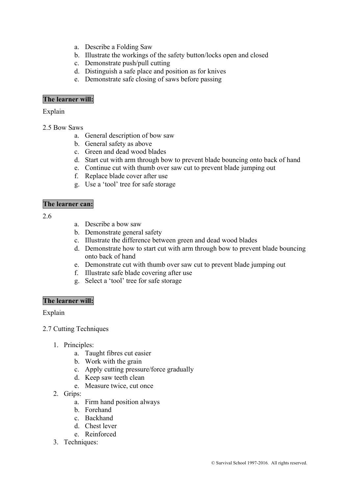- a. Describe a Folding Saw
- b. Illustrate the workings of the safety button/locks open and closed
- c. Demonstrate push/pull cutting
- d. Distinguish a safe place and position as for knives
- e. Demonstrate safe closing of saws before passing

## **The learner will:**

Explain

- 2.5 Bow Saws
	- a. General description of bow saw
	- b. General safety as above
	- c. Green and dead wood blades
	- d. Start cut with arm through bow to prevent blade bouncing onto back of hand
	- e. Continue cut with thumb over saw cut to prevent blade jumping out
	- f. Replace blade cover after use
	- g. Use a 'tool' tree for safe storage

#### **The learner can:**

2.6

- a. Describe a bow saw
- b. Demonstrate general safety
- c. Illustrate the difference between green and dead wood blades
- d. Demonstrate how to start cut with arm through bow to prevent blade bouncing onto back of hand
- e. Demonstrate cut with thumb over saw cut to prevent blade jumping out
- f. Illustrate safe blade covering after use
- g. Select a 'tool' tree for safe storage

#### **The learner will:**

Explain

- 2.7 Cutting Techniques
	- 1. Principles:
		- a. Taught fibres cut easier
		- b. Work with the grain
		- c. Apply cutting pressure/force gradually
		- d. Keep saw teeth clean
		- e. Measure twice, cut once
	- 2. Grips:
		- a. Firm hand position always
		- b. Forehand
		- c. Backhand
		- d. Chest lever
		- e. Reinforced
	- 3. Techniques: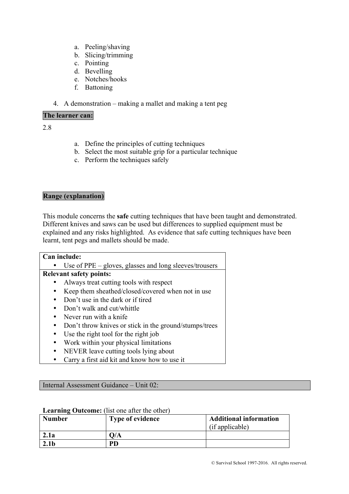- a. Peeling/shaving
- b. Slicing/trimming
- c. Pointing
- d. Bevelling
- e. Notches/hooks
- f. Battoning
- 4. A demonstration making a mallet and making a tent peg

#### **The learner can:**

2.8

- a. Define the principles of cutting techniques
- b. Select the most suitable grip for a particular technique
- c. Perform the techniques safely

## **Range (explanation)**

This module concerns the **safe** cutting techniques that have been taught and demonstrated. Different knives and saws can be used but differences to supplied equipment must be explained and any risks highlighted. As evidence that safe cutting techniques have been learnt, tent pegs and mallets should be made.

## **Can include:**

|           | Use of $PPE$ – gloves, glasses and long sleeves/trousers |
|-----------|----------------------------------------------------------|
|           | <b>Relevant safety points:</b>                           |
|           | Always treat cutting tools with respect                  |
|           | Keep them sheathed/closed/covered when not in use        |
|           | Don't use in the dark or if tired                        |
|           | • Don't walk and cut/whittle                             |
|           | • Never run with a knife                                 |
| $\bullet$ | Don't throw knives or stick in the ground/stumps/trees   |
|           | Use the right tool for the right job                     |
|           | Work within your physical limitations                    |
|           |                                                          |

- NEVER leave cutting tools lying about
- Carry a first aid kit and know how to use it

Internal Assessment Guidance – Unit 02:

# Number Type of evidence **Additional information** (if applicable) **2.1a**  $\qquad$   $\qquad$   $\qquad$   $\qquad$   $\qquad$   $\qquad$   $\qquad$   $\qquad$   $\qquad$   $\qquad$   $\qquad$   $\qquad$   $\qquad$   $\qquad$   $\qquad$   $\qquad$   $\qquad$   $\qquad$   $\qquad$   $\qquad$   $\qquad$   $\qquad$   $\qquad$   $\qquad$   $\qquad$   $\qquad$   $\qquad$   $\qquad$   $\qquad$   $\qquad$   $\qquad$   $\qquad$   $\qquad$   $\qquad$   $\qquad$   $\qquad$ **2.1b PD**

#### **Learning Outcome:** (list one after the other)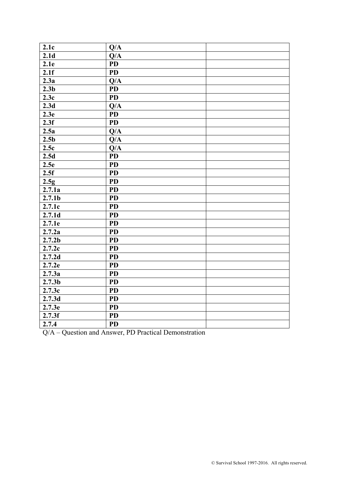| 2.1c                                             | Q/A                                                         |  |
|--------------------------------------------------|-------------------------------------------------------------|--|
| 2.1 <sub>d</sub>                                 |                                                             |  |
|                                                  | Q/A                                                         |  |
| 2.1e                                             | <b>PD</b>                                                   |  |
| 2.1f                                             | $\overline{PD}$                                             |  |
| 2.3a                                             | Q/A                                                         |  |
| 2.3 <sub>b</sub>                                 | <b>PD</b>                                                   |  |
| 2.3c                                             | <b>PD</b>                                                   |  |
| 2.3d                                             | Q/A                                                         |  |
| 2.3e                                             | $\overline{PD}$                                             |  |
| 2.3f                                             | <b>PD</b>                                                   |  |
| 2.5a                                             | Q/A                                                         |  |
| 2.5 <sub>b</sub>                                 | Q/A                                                         |  |
| 2.5c                                             | Q/A                                                         |  |
| 2.5d                                             | <b>PD</b>                                                   |  |
| 2.5e                                             | <b>PD</b>                                                   |  |
| 2.5f                                             | <b>PD</b>                                                   |  |
| 2.5g                                             | <b>PD</b>                                                   |  |
| 2.7.1a                                           | <b>PD</b>                                                   |  |
| $\overline{2.7.1b}$                              | <b>PD</b>                                                   |  |
| 2.7.1c                                           | <b>PD</b>                                                   |  |
| 2.7.1d                                           | <b>PD</b>                                                   |  |
| 2.7.1e                                           | <b>PD</b>                                                   |  |
| 2.7.2a                                           | <b>PD</b>                                                   |  |
| 2.7.2 <sub>b</sub>                               | <b>PD</b>                                                   |  |
| 2.7.2c                                           | <b>PD</b>                                                   |  |
| 2.7.2d                                           | $\overline{PD}$                                             |  |
| 2.7.2e                                           | <b>PD</b>                                                   |  |
| 2.7.3a                                           | <b>PD</b>                                                   |  |
| 2.7.3 <sub>b</sub>                               | <b>PD</b>                                                   |  |
| 2.7.3c                                           | <b>PD</b>                                                   |  |
| 2.7.3d                                           | <b>PD</b>                                                   |  |
| 2.7.3e                                           | <b>PD</b>                                                   |  |
| 2.7.3f                                           | <b>PD</b>                                                   |  |
| 2.7.4                                            | <b>PD</b>                                                   |  |
| $\sim$ $\mu$<br>$\sim$<br>$\mathbf{A}$<br>$\sim$ | $\sim$<br>$\mathbf{r}$ and $\mathbf{r}$<br>$n \, \sim \, n$ |  |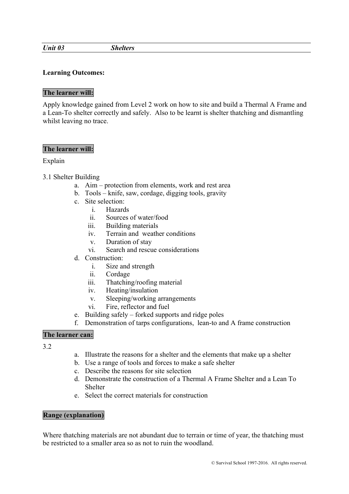*Unit 03 Shelters*

## **Learning Outcomes:**

#### **The learner will:**

Apply knowledge gained from Level 2 work on how to site and build a Thermal A Frame and a Lean-To shelter correctly and safely. Also to be learnt is shelter thatching and dismantling whilst leaving no trace.

#### **The learner will:**

## Explain

# 3.1 Shelter Building

- a. Aim protection from elements, work and rest area
- b. Tools knife, saw, cordage, digging tools, gravity
- c. Site selection:
	- i. Hazards
	- ii. Sources of water/food
	- iii. Building materials
	- iv. Terrain and weather conditions
	- v. Duration of stay
	- vi. Search and rescue considerations
- d. Construction:
	- i. Size and strength
	- ii. Cordage
	- iii. Thatching/roofing material
	- iv. Heating/insulation
	- v. Sleeping/working arrangements
	- vi. Fire, reflector and fuel
- e. Building safely forked supports and ridge poles
- f. Demonstration of tarps configurations, lean-to and A frame construction

# **The learner can:**

3.2

- a. Illustrate the reasons for a shelter and the elements that make up a shelter
- b. Use a range of tools and forces to make a safe shelter
- c. Describe the reasons for site selection
- d. Demonstrate the construction of a Thermal A Frame Shelter and a Lean To **Shelter**
- e. Select the correct materials for construction

## **Range (explanation)**

Where thatching materials are not abundant due to terrain or time of year, the thatching must be restricted to a smaller area so as not to ruin the woodland.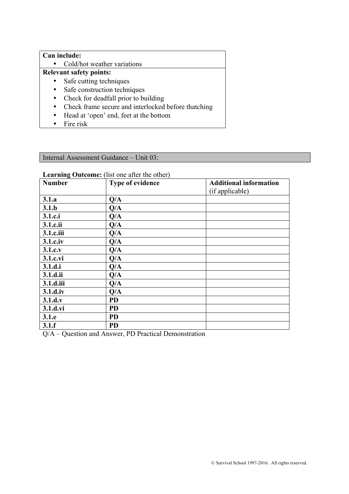# **Can include:**

• Cold/hot weather variations

# **Relevant safety points:**

- Safe cutting techniques
- Safe construction techniques
- Check for deadfall prior to building
- Check frame secure and interlocked before thatching
- Head at 'open' end, feet at the bottom
- Fire risk

Internal Assessment Guidance – Unit 03:

# **Learning Outcome:** (list one after the other)

| -- <del>9</del> - - - - - - - - - 1<br><b>Number</b> | Type of evidence | <b>Additional information</b><br>(if applicable) |
|------------------------------------------------------|------------------|--------------------------------------------------|
| 3.1.a                                                | Q/A              |                                                  |
| 3.1.b                                                | Q/A              |                                                  |
| 3.1.c.i                                              | Q/A              |                                                  |
| 3.1.c.ii                                             | Q/A              |                                                  |
| 3.1.c.iii                                            | Q/A              |                                                  |
| 3.1.c.iv                                             | Q/A              |                                                  |
| 3.1.c.v                                              | Q/A              |                                                  |
| 3.1.c.vi                                             | Q/A              |                                                  |
| 3.1.d.i                                              | Q/A              |                                                  |
| 3.1.d.ii                                             | Q/A              |                                                  |
| 3.1.d.iii                                            | Q/A              |                                                  |
| 3.1.d.iv                                             | Q/A              |                                                  |
| 3.1.d.v                                              | <b>PD</b>        |                                                  |
| 3.1.d.vi                                             | <b>PD</b>        |                                                  |
| 3.1.e                                                | <b>PD</b>        |                                                  |
| 3.1.f                                                | <b>PD</b>        |                                                  |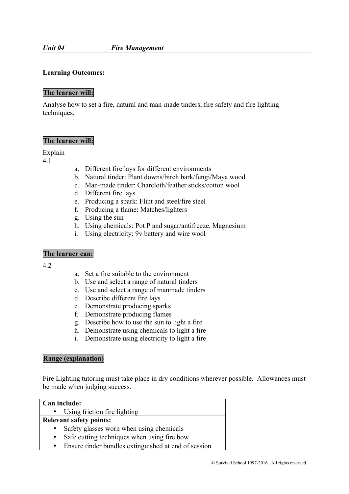#### *Unit 04 Fire Management*

## **Learning Outcomes:**

#### **The learner will:**

Analyse how to set a fire, natural and man-made tinders, fire safety and fire lighting techniques.

## **The learner will:**

Explain

4.1

- a. Different fire lays for different environments
- b. Natural tinder: Plant downs/birch bark/fungi/Maya wood
- c. Man-made tinder: Charcloth/feather sticks/cotton wool
- d. Different fire lays
- e. Producing a spark: Flint and steel/fire steel
- f. Producing a flame: Matches/lighters
- g. Using the sun
- h. Using chemicals: Pot P and sugar/antifreeze, Magnesium
- i. Using electricity: 9v battery and wire wool

#### **The learner can:**

4.2

- a. Set a fire suitable to the environment
- b. Use and select a range of natural tinders
- c. Use and select a range of manmade tinders
- d. Describe different fire lays
- e. Demonstrate producing sparks
- f. Demonstrate producing flames
- g. Describe how to use the sun to light a fire
- h. Demonstrate using chemicals to light a fire
- i. Demonstrate using electricity to light a fire

#### **Range (explanation)**

Fire Lighting tutoring must take place in dry conditions wherever possible. Allowances must be made when judging success.

| Can include: |                                                      |  |  |
|--------------|------------------------------------------------------|--|--|
|              | • Using friction fire lighting                       |  |  |
|              | <b>Relevant safety points:</b>                       |  |  |
|              | Safety glasses worn when using chemicals             |  |  |
| $\bullet$    | Safe cutting techniques when using fire bow          |  |  |
| $\bullet$    | Ensure tinder bundles extinguished at end of session |  |  |
|              |                                                      |  |  |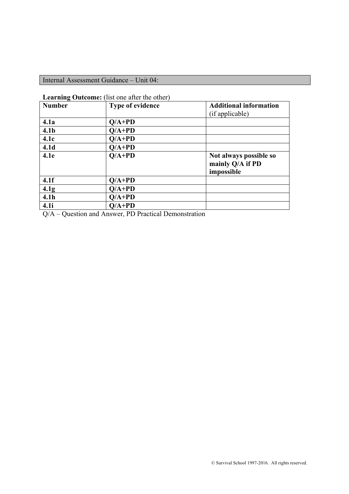# Internal Assessment Guidance – Unit 04:

|  | <b>Learning Outcome:</b> (list one after the other) |
|--|-----------------------------------------------------|
|--|-----------------------------------------------------|

| 0<br><b>Number</b> | <b>Type of evidence</b> | <b>Additional information</b><br>(if applicable)         |
|--------------------|-------------------------|----------------------------------------------------------|
| 4.1a               | $Q/A+PD$                |                                                          |
| 4.1 <sub>b</sub>   | $Q/A+PD$                |                                                          |
| 4.1c               | $O/A+PD$                |                                                          |
| 4.1 <sub>d</sub>   | $O/A+PD$                |                                                          |
| 4.1e               | $O/A+PD$                | Not always possible so<br>mainly Q/A if PD<br>impossible |
| 4.1f               | $Q/A+PD$                |                                                          |
| 4.1 <sub>g</sub>   | $O/A+PD$                |                                                          |
| 4.1 <sub>h</sub>   | $O/A+PD$                |                                                          |
| 4.1i               | $Q/A+PD$                |                                                          |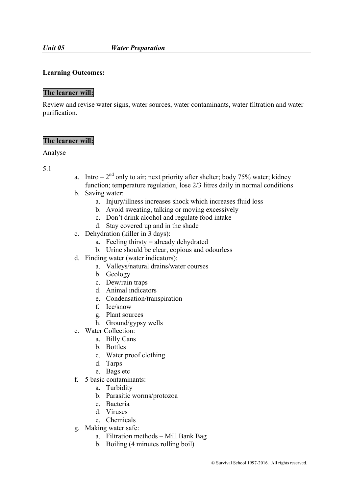#### *Unit 05 Water Preparation*

#### **Learning Outcomes:**

#### **The learner will:**

Review and revise water signs, water sources, water contaminants, water filtration and water purification.

## **The learner will:**

#### Analyse

- a. Intro  $2<sup>nd</sup>$  only to air; next priority after shelter; body 75% water; kidney function; temperature regulation, lose 2/3 litres daily in normal conditions
- b. Saving water:
	- a. Injury/illness increases shock which increases fluid loss
	- b. Avoid sweating, talking or moving excessively
	- c. Don't drink alcohol and regulate food intake
	- d. Stay covered up and in the shade
- c. Dehydration (killer in 3 days):
	- a. Feeling thirsty  $=$  already dehydrated
	- b. Urine should be clear, copious and odourless
- d. Finding water (water indicators):
	- a. Valleys/natural drains/water courses
	- b. Geology
	- c. Dew/rain traps
	- d. Animal indicators
	- e. Condensation/transpiration
	- f. Ice/snow
	- g. Plant sources
	- h. Ground/gypsy wells
- e. Water Collection:
	- a. Billy Cans
	- b. Bottles
	- c. Water proof clothing
	- d. Tarps
	- e. Bags etc
- f. 5 basic contaminants:
	- a. Turbidity
	- b. Parasitic worms/protozoa
	- c. Bacteria
	- d. Viruses
	- e. Chemicals
- g. Making water safe:
	- a. Filtration methods Mill Bank Bag
	- b. Boiling (4 minutes rolling boil)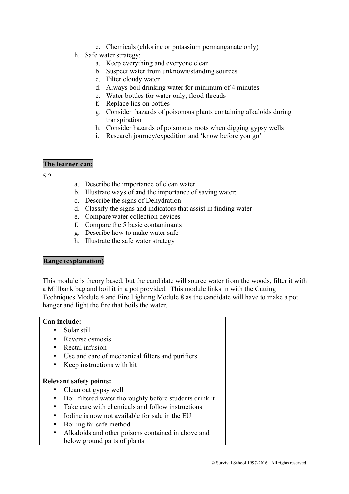- c. Chemicals (chlorine or potassium permanganate only)
- h. Safe water strategy:
	- a. Keep everything and everyone clean
	- b. Suspect water from unknown/standing sources
	- c. Filter cloudy water
	- d. Always boil drinking water for minimum of 4 minutes
	- e. Water bottles for water only, flood threads
	- f. Replace lids on bottles
	- g. Consider hazards of poisonous plants containing alkaloids during transpiration
	- h. Consider hazards of poisonous roots when digging gypsy wells
	- i. Research journey/expedition and 'know before you go'

#### **The learner can:**

5.2

- a. Describe the importance of clean water
- b. Illustrate ways of and the importance of saving water:
- c. Describe the signs of Dehydration
- d. Classify the signs and indicators that assist in finding water
- e. Compare water collection devices
- f. Compare the 5 basic contaminants
- g. Describe how to make water safe
- h. Illustrate the safe water strategy

# **Range (explanation)**

This module is theory based, but the candidate will source water from the woods, filter it with a Millbank bag and boil it in a pot provided. This module links in with the Cutting Techniques Module 4 and Fire Lighting Module 8 as the candidate will have to make a pot hanger and light the fire that boils the water.

#### **Can include:**

- Solar still
- Reverse osmosis
- Rectal infusion
- Use and care of mechanical filters and purifiers
- Keep instructions with kit

#### **Relevant safety points:**

- Clean out gypsy well
- Boil filtered water thoroughly before students drink it
- Take care with chemicals and follow instructions
- Iodine is now not available for sale in the EU
- Boiling failsafe method
- Alkaloids and other poisons contained in above and below ground parts of plants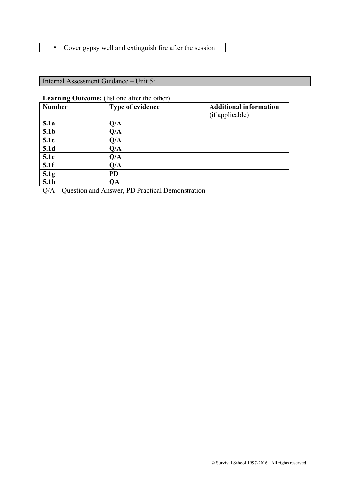# • Cover gypsy well and extinguish fire after the session

Internal Assessment Guidance – Unit 5:

## **Learning Outcome:** (list one after the other)

| $\overline{ }$<br><b>Number</b> | Type of evidence | <b>Additional information</b> |
|---------------------------------|------------------|-------------------------------|
|                                 |                  | (if applicable)               |
| 5.1a                            | Q/A              |                               |
| 5.1 <sub>b</sub>                | Q/A              |                               |
| 5.1c                            | Q/A              |                               |
| 5.1d                            | Q/A              |                               |
| 5.1e                            | Q/A              |                               |
| 5.1f                            | Q/A              |                               |
| 5.1g                            | <b>PD</b>        |                               |
| 5.1h                            | QA               |                               |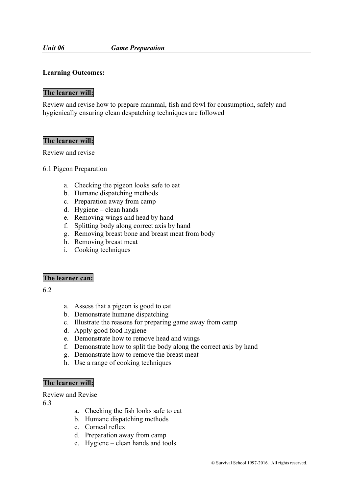#### *Unit 06 Game Preparation*

#### **Learning Outcomes:**

#### **The learner will:**

Review and revise how to prepare mammal, fish and fowl for consumption, safely and hygienically ensuring clean despatching techniques are followed

#### **The learner will:**

Review and revise

#### 6.1 Pigeon Preparation

- a. Checking the pigeon looks safe to eat
- b. Humane dispatching methods
- c. Preparation away from camp
- d. Hygiene clean hands
- e. Removing wings and head by hand
- f. Splitting body along correct axis by hand
- g. Removing breast bone and breast meat from body
- h. Removing breast meat
- i. Cooking techniques

#### **The learner can:**

6.2

- a. Assess that a pigeon is good to eat
- b. Demonstrate humane dispatching
- c. Illustrate the reasons for preparing game away from camp
- d. Apply good food hygiene
- e. Demonstrate how to remove head and wings
- f. Demonstrate how to split the body along the correct axis by hand
- g. Demonstrate how to remove the breast meat
- h. Use a range of cooking techniques

#### **The learner will:**

Review and Revise

- a. Checking the fish looks safe to eat
- b. Humane dispatching methods
- c. Corneal reflex
- d. Preparation away from camp
- e. Hygiene clean hands and tools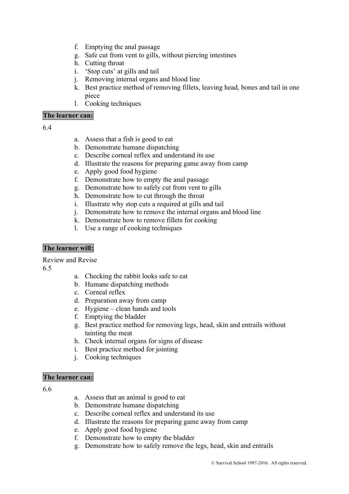- f. Emptying the anal passage
- g. Safe cut from vent to gills, without piercing intestines
- h. Cutting throat
- i. 'Stop cuts' at gills and tail
- j. Removing internal organs and blood line
- k. Best practice method of removing fillets, leaving head, bones and tail in one piece
- l. Cooking techniques

# **The learner can:**

#### 6.4

- a. Assess that a fish is good to eat
- b. Demonstrate humane dispatching
- c. Describe corneal reflex and understand its use
- d. Illustrate the reasons for preparing game away from camp
- e. Apply good food hygiene
- f. Demonstrate how to empty the anal passage
- g. Demonstrate how to safely cut from vent to gills
- h. Demonstrate how to cut through the throat
- i. Illustrate why stop cuts a required at gills and tail
- j. Demonstrate how to remove the internal organs and blood line
- k. Demonstrate how to remove fillets for cooking
- l. Use a range of cooking techniques

# **The learner will:**

Review and Revise

6.5

- a. Checking the rabbit looks safe to eat
- b. Humane dispatching methods
- c. Corneal reflex
- d. Preparation away from camp
- e. Hygiene clean hands and tools
- f. Emptying the bladder
- g. Best practice method for removing legs, head, skin and entrails without tainting the meat
- h. Check internal organs for signs of disease
- i. Best practice method for jointing
- j. Cooking techniques

#### **The learner can:**

- a. Assess that an animal is good to eat
- b. Demonstrate humane dispatching
- c. Describe corneal reflex and understand its use
- d. Illustrate the reasons for preparing game away from camp
- e. Apply good food hygiene
- f. Demonstrate how to empty the bladder
- g. Demonstrate how to safely remove the legs, head, skin and entrails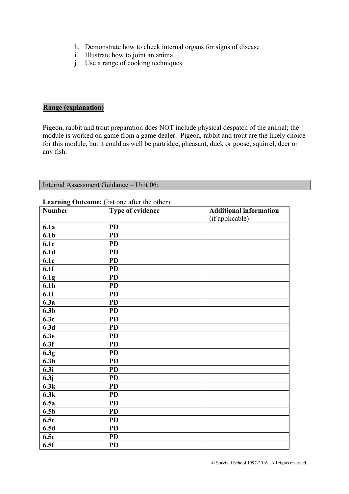- h. Demonstrate how to check internal organs for signs of disease
- i. Illustrate how to joint an animal
- j. Use a range of cooking techniques

# **Range (explanation)**

Pigeon, rabbit and trout preparation does NOT include physical despatch of the animal; the module is worked on game from a game dealer. Pigeon, rabbit and trout are the likely choice for this module, but it could as well be partridge, pheasant, duck or goose, squirrel, deer or any fish.

| Internal Assessment Guidance – Unit 06: |  |
|-----------------------------------------|--|
|-----------------------------------------|--|

| <b>Number</b>    | <b>Examing Outcome.</b> (not one and the other)<br>Type of evidence | <b>Additional information</b> |
|------------------|---------------------------------------------------------------------|-------------------------------|
|                  |                                                                     | (if applicable)               |
| 6.1a             | <b>PD</b>                                                           |                               |
| 6.1 <sub>b</sub> | <b>PD</b>                                                           |                               |
| 6.1c             | <b>PD</b>                                                           |                               |
| 6.1 <sub>d</sub> | <b>PD</b>                                                           |                               |
| 6.1e             | <b>PD</b>                                                           |                               |
| 6.1f             | <b>PD</b>                                                           |                               |
| 6.1 <sub>g</sub> | <b>PD</b>                                                           |                               |
| 6.1 <sub>h</sub> | <b>PD</b>                                                           |                               |
| 6.1i             | <b>PD</b>                                                           |                               |
| 6.3a             | <b>PD</b>                                                           |                               |
| 6.3 <sub>b</sub> | <b>PD</b>                                                           |                               |
| 6.3c             | <b>PD</b>                                                           |                               |
| 6.3d             | <b>PD</b>                                                           |                               |
| 6.3e             | <b>PD</b>                                                           |                               |
| 6.3f             | <b>PD</b>                                                           |                               |
| 6.3 <sub>g</sub> | <b>PD</b>                                                           |                               |
| 6.3h             | <b>PD</b>                                                           |                               |
| 6.3i             | <b>PD</b>                                                           |                               |
| 6.3j             | <b>PD</b>                                                           |                               |
| 6.3k             | <b>PD</b>                                                           |                               |
| 6.3k             | <b>PD</b>                                                           |                               |
| 6.5a             | <b>PD</b>                                                           |                               |
| 6.5 <sub>b</sub> | <b>PD</b>                                                           |                               |
| 6.5c             | <b>PD</b>                                                           |                               |
| 6.5d             | <b>PD</b>                                                           |                               |
| 6.5e             | <b>PD</b>                                                           |                               |
| 6.5f             | <b>PD</b>                                                           |                               |

#### **Learning Outcome:** (list one after the other)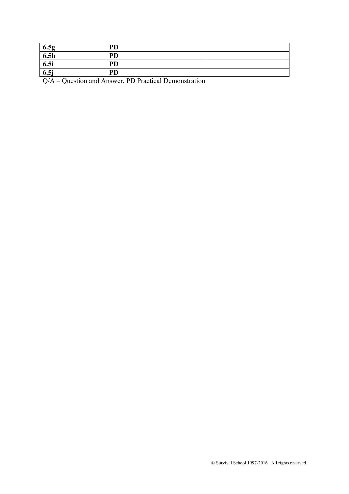| 6.5g | PD        |  |
|------|-----------|--|
| 6.5h | PD        |  |
| 6.5i | <b>PD</b> |  |
| 6.5j | <b>PD</b> |  |